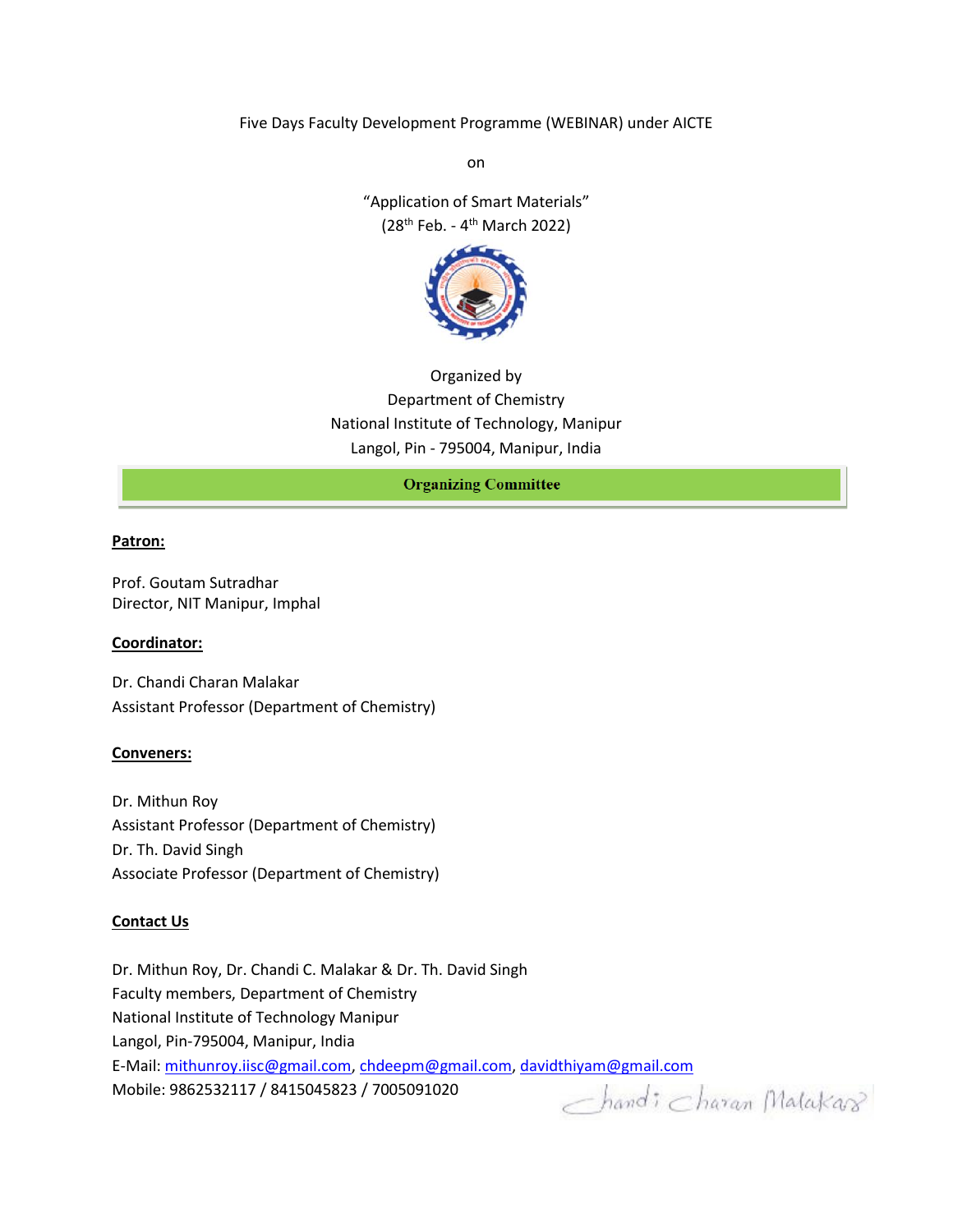Five Days Faculty Development Programme (WEBINAR) under AICTE

on

"Application of Smart Materials" (28<sup>th</sup> Feb. - 4<sup>th</sup> March 2022)



Organized by Department of Chemistry National Institute of Technology, Manipur Langol, Pin - 795004, Manipur, India

**Organizing Committee** 

#### **Patron:**

Prof. Goutam Sutradhar Director, NIT Manipur, Imphal

#### **Coordinator:**

Dr. Chandi Charan Malakar Assistant Professor (Department of Chemistry)

#### **Conveners:**

Dr. Mithun Roy Assistant Professor (Department of Chemistry) Dr. Th. David Singh Associate Professor (Department of Chemistry)

#### **Contact Us**

Dr. Mithun Roy, Dr. Chandi C. Malakar & Dr. Th. David Singh Faculty members, Department of Chemistry National Institute of Technology Manipur Langol, Pin-795004, Manipur, India E-Mail: [mithunroy.iisc@gmail.com,](mailto:mithunroy.iisc@gmail.com) [chdeepm@gmail.com,](mailto:chdeepm@gmail.com) [davidthiyam@gmail.com](mailto:davidthiyam@gmail.com) Mobile: 9862532117 / 8415045823 / 7005091020 $-$ hand:  $_{charan}$  Malakars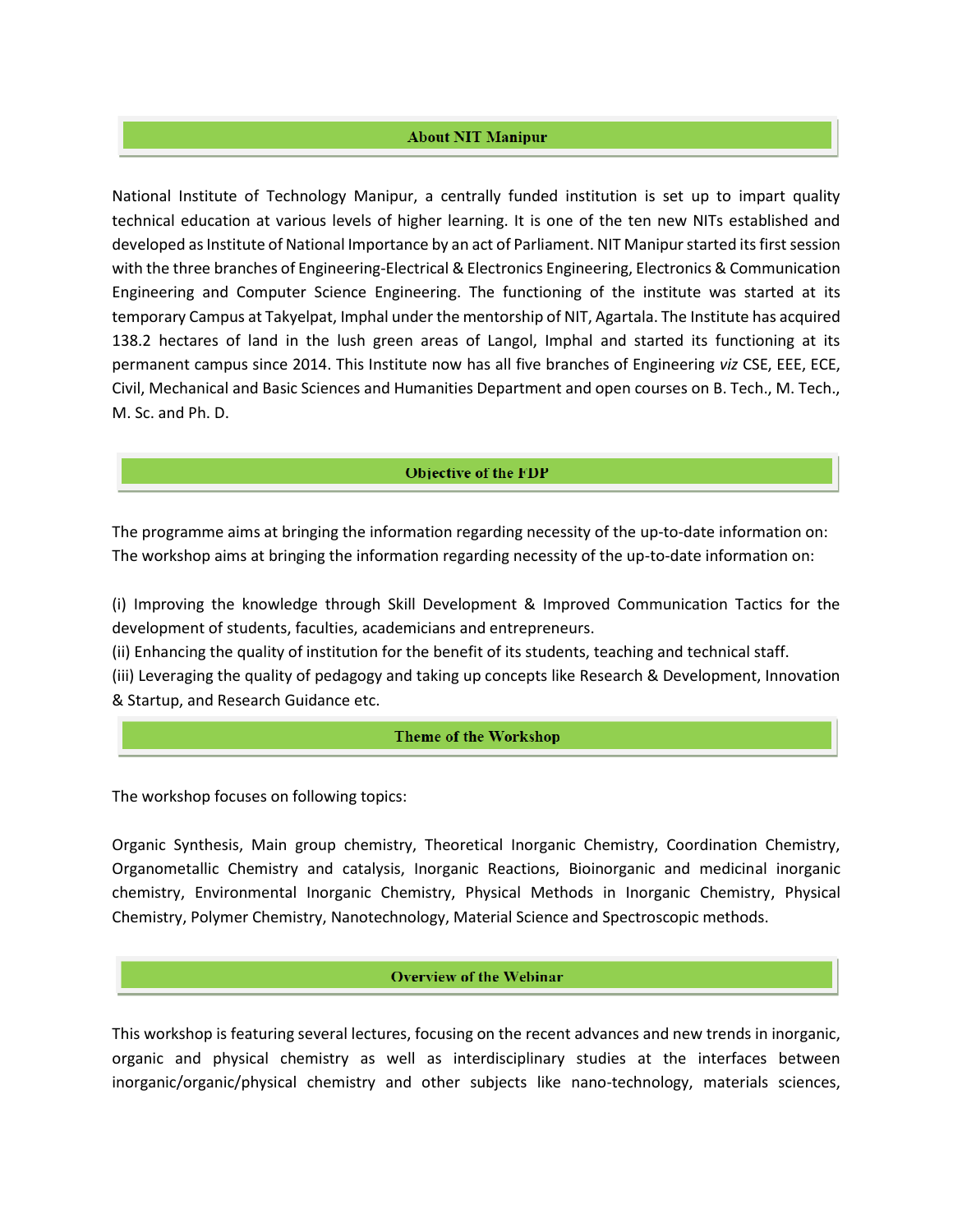# **About NIT Manipur**

National Institute of Technology Manipur, a centrally funded institution is set up to impart quality technical education at various levels of higher learning. It is one of the ten new NITs established and developed as Institute of National Importance by an act of Parliament. NIT Manipur started its first session with the three branches of Engineering-Electrical & Electronics Engineering, Electronics & Communication Engineering and Computer Science Engineering. The functioning of the institute was started at its temporary Campus at Takyelpat, Imphal under the mentorship of NIT, Agartala. The Institute has acquired 138.2 hectares of land in the lush green areas of Langol, Imphal and started its functioning at its permanent campus since 2014. This Institute now has all five branches of Engineering *viz* CSE, EEE, ECE, Civil, Mechanical and Basic Sciences and Humanities Department and open courses on B. Tech., M. Tech., M. Sc. and Ph. D.

#### **Objective of the FDP**

The programme aims at bringing the information regarding necessity of the up-to-date information on: The workshop aims at bringing the information regarding necessity of the up-to-date information on:

(i) Improving the knowledge through Skill Development & Improved Communication Tactics for the development of students, faculties, academicians and entrepreneurs.

(ii) Enhancing the quality of institution for the benefit of its students, teaching and technical staff.

(iii) Leveraging the quality of pedagogy and taking up concepts like Research & Development, Innovation & Startup, and Research Guidance etc.

# **Theme of the Workshop**

The workshop focuses on following topics:

Organic Synthesis, Main group chemistry, Theoretical Inorganic Chemistry, Coordination Chemistry, Organometallic Chemistry and catalysis, Inorganic Reactions, Bioinorganic and medicinal inorganic chemistry, Environmental Inorganic Chemistry, Physical Methods in Inorganic Chemistry, Physical Chemistry, Polymer Chemistry, Nanotechnology, Material Science and Spectroscopic methods.

#### **Overview of the Webinar**

This workshop is featuring several lectures, focusing on the recent advances and new trends in inorganic, organic and physical chemistry as well as interdisciplinary studies at the interfaces between inorganic/organic/physical chemistry and other subjects like nano-technology, materials sciences,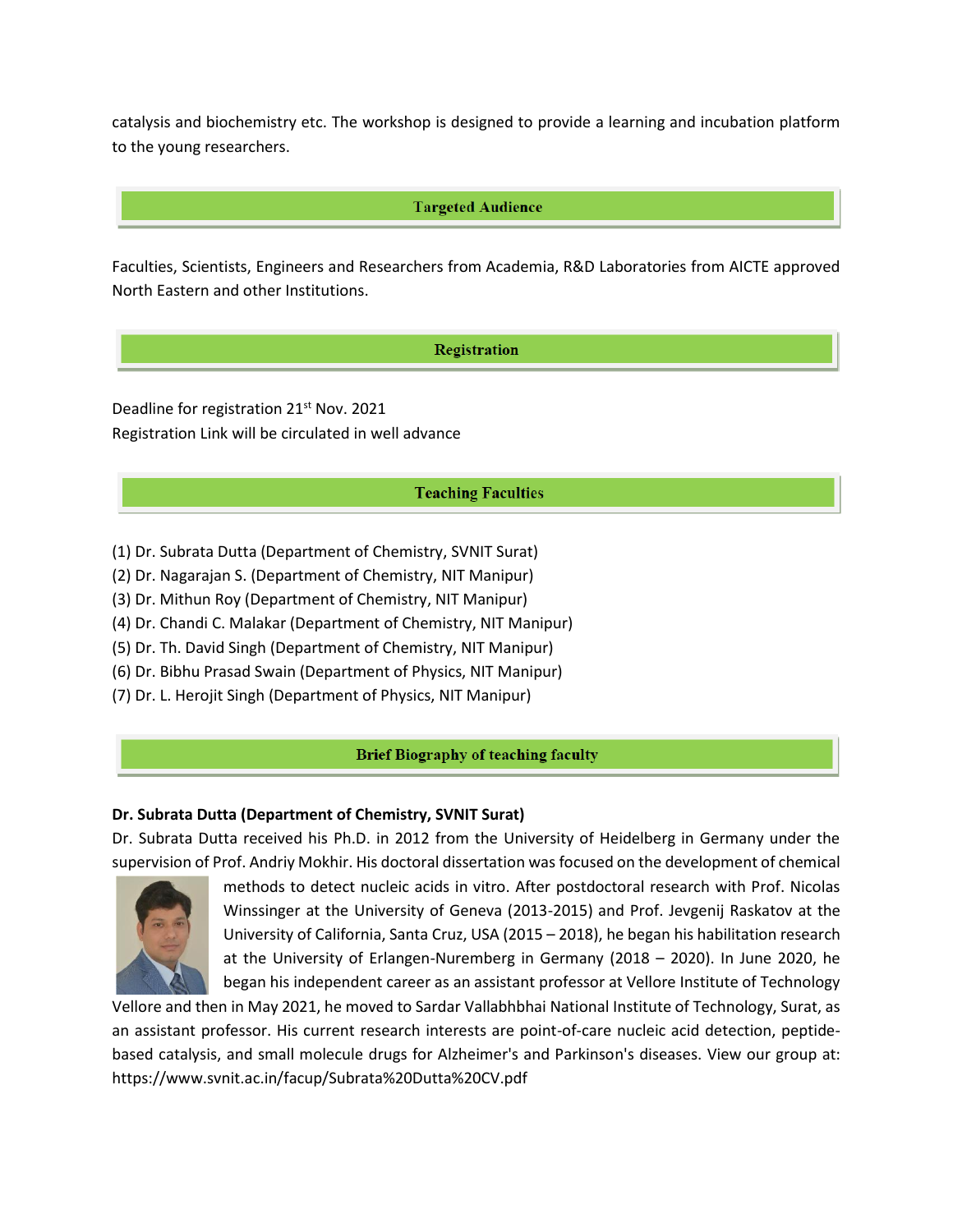catalysis and biochemistry etc. The workshop is designed to provide a learning and incubation platform to the young researchers.

# **Targeted Audience**

Faculties, Scientists, Engineers and Researchers from Academia, R&D Laboratories from AICTE approved North Eastern and other Institutions.

# Registration

Deadline for registration 21<sup>st</sup> Nov. 2021 Registration Link will be circulated in well advance

# **Teaching Faculties**

- (1) Dr. Subrata Dutta (Department of Chemistry, SVNIT Surat)
- (2) Dr. Nagarajan S. (Department of Chemistry, NIT Manipur)
- (3) Dr. Mithun Roy (Department of Chemistry, NIT Manipur)
- (4) Dr. Chandi C. Malakar (Department of Chemistry, NIT Manipur)
- (5) Dr. Th. David Singh (Department of Chemistry, NIT Manipur)
- (6) Dr. Bibhu Prasad Swain (Department of Physics, NIT Manipur)
- (7) Dr. L. Herojit Singh (Department of Physics, NIT Manipur)

#### **Brief Biography of teaching faculty**

# **Dr. Subrata Dutta (Department of Chemistry, SVNIT Surat)**

Dr. Subrata Dutta received his Ph.D. in 2012 from the University of Heidelberg in Germany under the supervision of Prof. Andriy Mokhir. His doctoral dissertation was focused on the development of chemical



methods to detect nucleic acids in vitro. After postdoctoral research with Prof. Nicolas Winssinger at the University of Geneva (2013-2015) and Prof. Jevgenij Raskatov at the University of California, Santa Cruz, USA (2015 – 2018), he began his habilitation research at the University of Erlangen-Nuremberg in Germany (2018 – 2020). In June 2020, he began his independent career as an assistant professor at Vellore Institute of Technology

Vellore and then in May 2021, he moved to Sardar Vallabhbhai National Institute of Technology, Surat, as an assistant professor. His current research interests are point-of-care nucleic acid detection, peptidebased catalysis, and small molecule drugs for Alzheimer's and Parkinson's diseases. View our group at: https://www.svnit.ac.in/facup/Subrata%20Dutta%20CV.pdf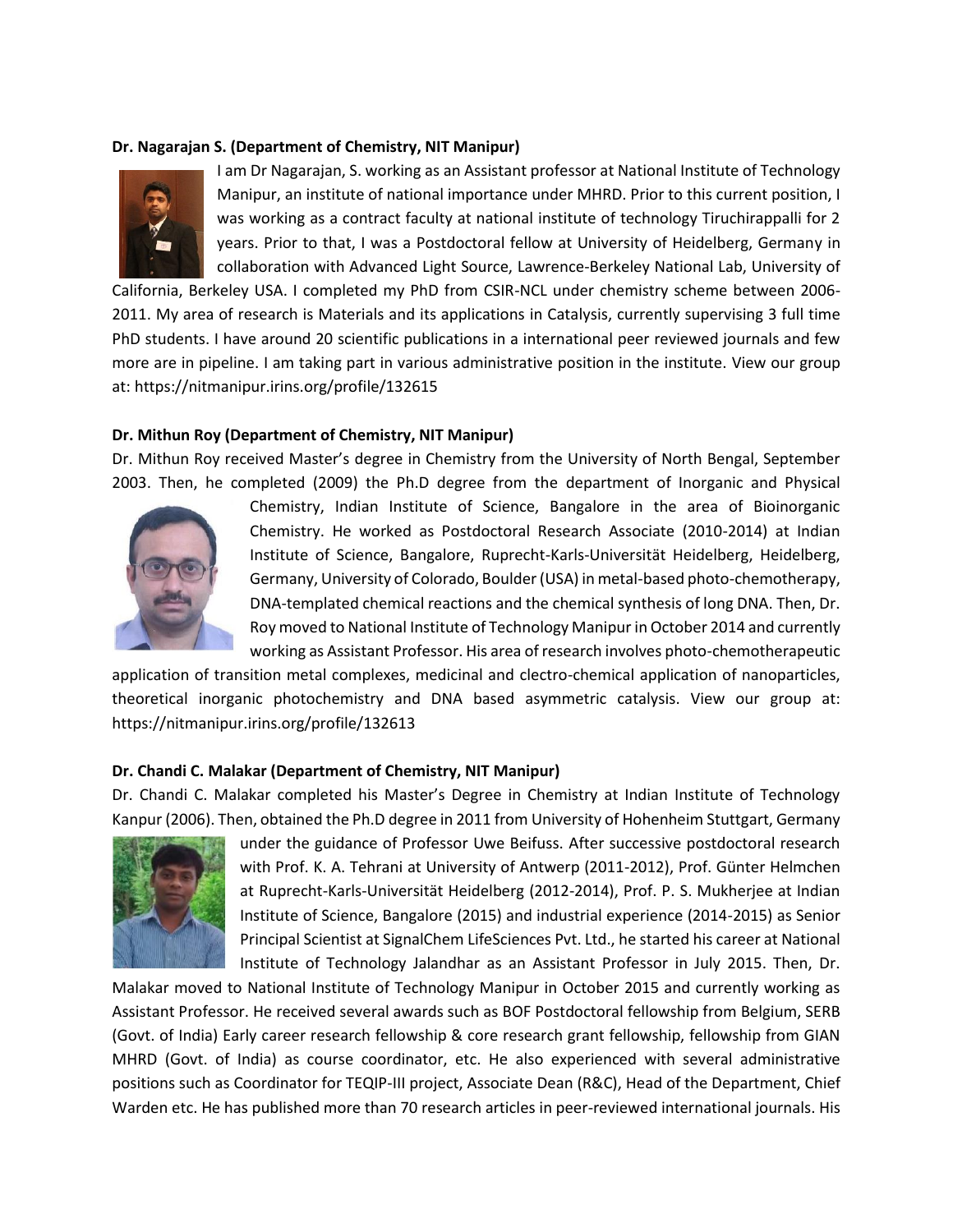# **Dr. Nagarajan S. (Department of Chemistry, NIT Manipur)**



I am Dr Nagarajan, S. working as an Assistant professor at National Institute of Technology Manipur, an institute of national importance under MHRD. Prior to this current position, I was working as a contract faculty at national institute of technology Tiruchirappalli for 2 years. Prior to that, I was a Postdoctoral fellow at University of Heidelberg, Germany in collaboration with Advanced Light Source, Lawrence-Berkeley National Lab, University of

California, Berkeley USA. I completed my PhD from CSIR-NCL under chemistry scheme between 2006- 2011. My area of research is Materials and its applications in Catalysis, currently supervising 3 full time PhD students. I have around 20 scientific publications in a international peer reviewed journals and few more are in pipeline. I am taking part in various administrative position in the institute. View our group at: https://nitmanipur.irins.org/profile/132615

#### **Dr. Mithun Roy (Department of Chemistry, NIT Manipur)**

Dr. Mithun Roy received Master's degree in Chemistry from the University of North Bengal, September 2003. Then, he completed (2009) the Ph.D degree from the department of Inorganic and Physical



Chemistry, Indian Institute of Science, Bangalore in the area of Bioinorganic Chemistry. He worked as Postdoctoral Research Associate (2010-2014) at Indian Institute of Science, Bangalore, Ruprecht-Karls-Universität Heidelberg, Heidelberg, Germany, University of Colorado, Boulder (USA) in metal-based photo-chemotherapy, DNA-templated chemical reactions and the chemical synthesis of long DNA. Then, Dr. Roy moved to National Institute of Technology Manipur in October 2014 and currently working as Assistant Professor. His area of research involves photo-chemotherapeutic

application of transition metal complexes, medicinal and clectro-chemical application of nanoparticles, theoretical inorganic photochemistry and DNA based asymmetric catalysis. View our group at: https://nitmanipur.irins.org/profile/132613

#### **Dr. Chandi C. Malakar (Department of Chemistry, NIT Manipur)**

Dr. Chandi C. Malakar completed his Master's Degree in Chemistry at Indian Institute of Technology Kanpur (2006). Then, obtained the Ph.D degree in 2011 from University of Hohenheim Stuttgart, Germany



under the guidance of Professor Uwe Beifuss. After successive postdoctoral research with Prof. K. A. Tehrani at University of Antwerp (2011-2012), Prof. Günter Helmchen at Ruprecht-Karls-Universität Heidelberg (2012-2014), Prof. P. S. Mukherjee at Indian Institute of Science, Bangalore (2015) and industrial experience (2014-2015) as Senior Principal Scientist at SignalChem LifeSciences Pvt. Ltd., he started his career at National Institute of Technology Jalandhar as an Assistant Professor in July 2015. Then, Dr.

Malakar moved to National Institute of Technology Manipur in October 2015 and currently working as Assistant Professor. He received several awards such as BOF Postdoctoral fellowship from Belgium, SERB (Govt. of India) Early career research fellowship & core research grant fellowship, fellowship from GIAN MHRD (Govt. of India) as course coordinator, etc. He also experienced with several administrative positions such as Coordinator for TEQIP-III project, Associate Dean (R&C), Head of the Department, Chief Warden etc. He has published more than 70 research articles in peer-reviewed international journals. His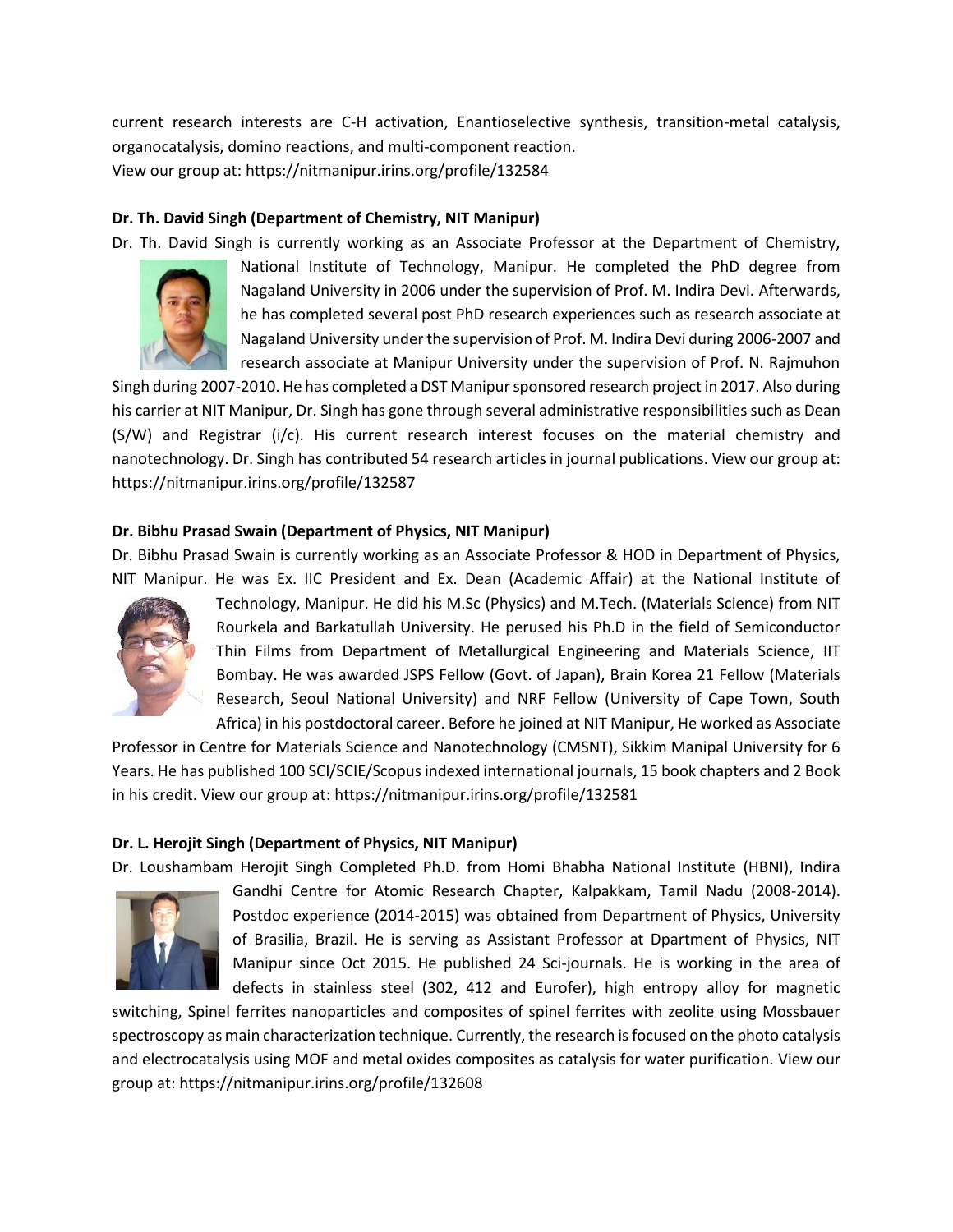current research interests are C-H activation, Enantioselective synthesis, transition-metal catalysis, organocatalysis, domino reactions, and multi-component reaction. View our group at: https://nitmanipur.irins.org/profile/132584

# **Dr. Th. David Singh (Department of Chemistry, NIT Manipur)**

Dr. Th. David Singh is currently working as an Associate Professor at the Department of Chemistry,



National Institute of Technology, Manipur. He completed the PhD degree from Nagaland University in 2006 under the supervision of Prof. M. Indira Devi. Afterwards, he has completed several post PhD research experiences such as research associate at Nagaland University under the supervision of Prof. M. Indira Devi during 2006-2007 and research associate at Manipur University under the supervision of Prof. N. Rajmuhon

Singh during 2007-2010. He has completed a DST Manipur sponsored research project in 2017. Also during his carrier at NIT Manipur, Dr. Singh has gone through several administrative responsibilities such as Dean (S/W) and Registrar (i/c). His current research interest focuses on the material chemistry and nanotechnology. Dr. Singh has contributed 54 research articles in journal publications. View our group at: https://nitmanipur.irins.org/profile/132587

# **Dr. Bibhu Prasad Swain (Department of Physics, NIT Manipur)**

Dr. Bibhu Prasad Swain is currently working as an Associate Professor & HOD in Department of Physics, NIT Manipur. He was Ex. IIC President and Ex. Dean (Academic Affair) at the National Institute of



Technology, Manipur. He did his M.Sc (Physics) and M.Tech. (Materials Science) from NIT Rourkela and Barkatullah University. He perused his Ph.D in the field of Semiconductor Thin Films from Department of Metallurgical Engineering and Materials Science, IIT Bombay. He was awarded JSPS Fellow (Govt. of Japan), Brain Korea 21 Fellow (Materials Research, Seoul National University) and NRF Fellow (University of Cape Town, South Africa) in his postdoctoral career. Before he joined at NIT Manipur, He worked as Associate

Professor in Centre for Materials Science and Nanotechnology (CMSNT), Sikkim Manipal University for 6 Years. He has published 100 SCI/SCIE/Scopus indexed international journals, 15 book chapters and 2 Book in his credit. View our group at: https://nitmanipur.irins.org/profile/132581

# **Dr. L. Herojit Singh (Department of Physics, NIT Manipur)**

Dr. Loushambam Herojit Singh Completed Ph.D. from Homi Bhabha National Institute (HBNI), Indira



Gandhi Centre for Atomic Research Chapter, Kalpakkam, Tamil Nadu (2008-2014). Postdoc experience (2014-2015) was obtained from Department of Physics, University of Brasilia, Brazil. He is serving as Assistant Professor at Dpartment of Physics, NIT Manipur since Oct 2015. He published 24 Sci-journals. He is working in the area of defects in stainless steel (302, 412 and Eurofer), high entropy alloy for magnetic

switching, Spinel ferrites nanoparticles and composites of spinel ferrites with zeolite using Mossbauer spectroscopy as main characterization technique. Currently, the research is focused on the photo catalysis and electrocatalysis using MOF and metal oxides composites as catalysis for water purification. View our group at: https://nitmanipur.irins.org/profile/132608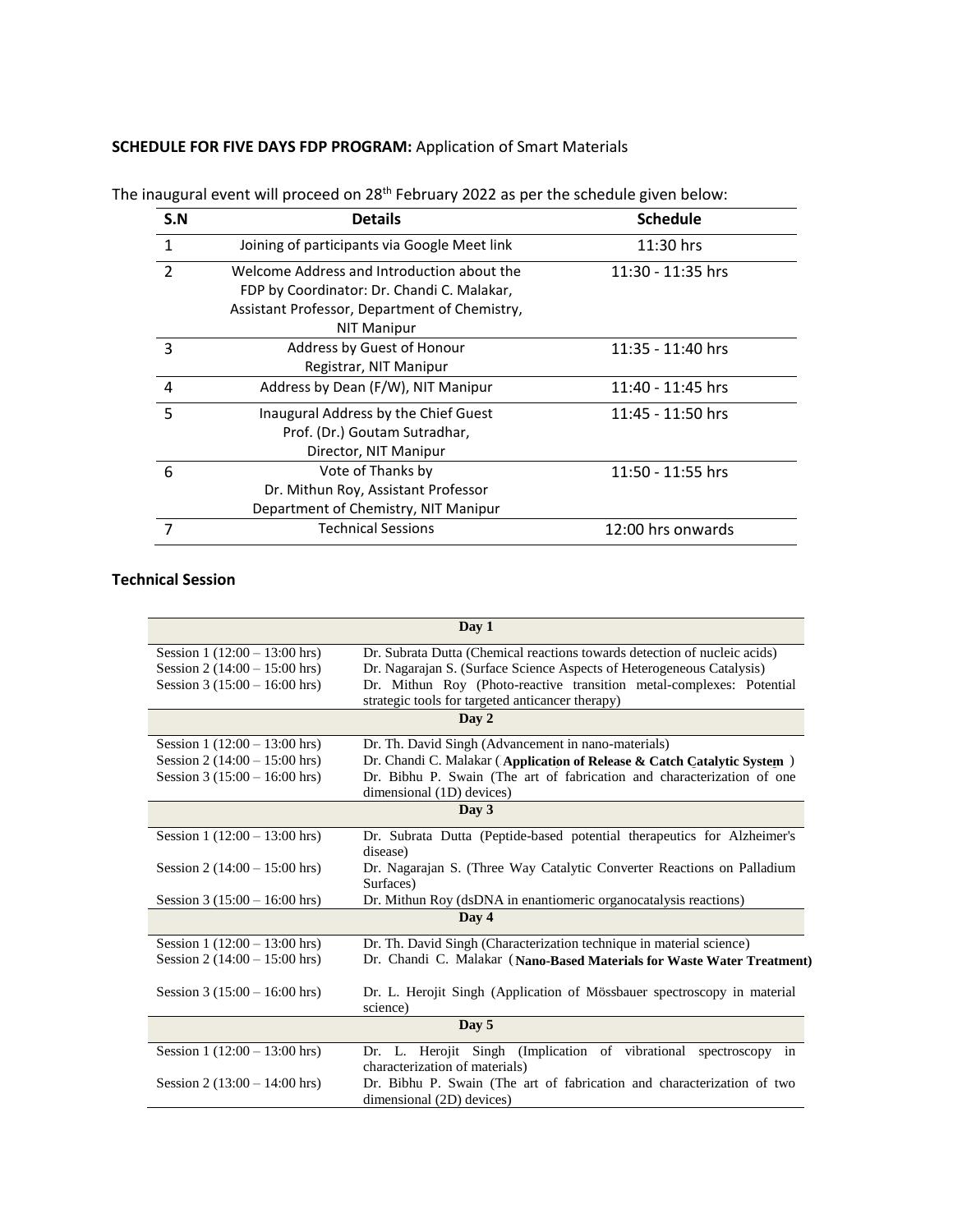# **SCHEDULE FOR FIVE DAYS FDP PROGRAM:** Application of Smart Materials

| S.N            | <b>Details</b>                                                                                                                                                  | <b>Schedule</b>   |
|----------------|-----------------------------------------------------------------------------------------------------------------------------------------------------------------|-------------------|
| $\mathbf{1}$   | Joining of participants via Google Meet link                                                                                                                    | $11:30$ hrs       |
| $\mathcal{P}$  | Welcome Address and Introduction about the<br>FDP by Coordinator: Dr. Chandi C. Malakar,<br>Assistant Professor, Department of Chemistry,<br><b>NIT Manipur</b> | 11:30 - 11:35 hrs |
| 3              | Address by Guest of Honour<br>Registrar, NIT Manipur                                                                                                            | 11:35 - 11:40 hrs |
| $\overline{4}$ | Address by Dean (F/W), NIT Manipur                                                                                                                              | 11:40 - 11:45 hrs |
| 5              | Inaugural Address by the Chief Guest<br>Prof. (Dr.) Goutam Sutradhar,<br>Director, NIT Manipur                                                                  | 11:45 - 11:50 hrs |
| 6              | Vote of Thanks by<br>Dr. Mithun Roy, Assistant Professor<br>Department of Chemistry, NIT Manipur                                                                | 11:50 - 11:55 hrs |
|                | <b>Technical Sessions</b>                                                                                                                                       | 12:00 hrs onwards |

The inaugural event will proceed on 28<sup>th</sup> February 2022 as per the schedule given below:

# **Technical Session**

| Day 1                           |                                                                                                                          |  |  |
|---------------------------------|--------------------------------------------------------------------------------------------------------------------------|--|--|
| Session $1(12:00 - 13:00$ hrs)  | Dr. Subrata Dutta (Chemical reactions towards detection of nucleic acids)                                                |  |  |
| Session 2 $(14:00 - 15:00$ hrs) | Dr. Nagarajan S. (Surface Science Aspects of Heterogeneous Catalysis)                                                    |  |  |
| Session 3 $(15:00 - 16:00$ hrs) | Dr. Mithun Roy (Photo-reactive transition metal-complexes: Potential<br>strategic tools for targeted anticancer therapy) |  |  |
| Day 2                           |                                                                                                                          |  |  |
| Session $1(12:00 - 13:00$ hrs)  | Dr. Th. David Singh (Advancement in nano-materials)                                                                      |  |  |
| Session 2 $(14:00 - 15:00$ hrs) | Dr. Chandi C. Malakar (Application of Release & Catch Catalytic System)                                                  |  |  |
| Session $3(15:00 - 16:00$ hrs)  | Dr. Bibhu P. Swain (The art of fabrication and characterization of one<br>dimensional (1D) devices)                      |  |  |
| Day 3                           |                                                                                                                          |  |  |
| Session $1(12:00 - 13:00$ hrs)  | Dr. Subrata Dutta (Peptide-based potential therapeutics for Alzheimer's                                                  |  |  |
|                                 | disease)                                                                                                                 |  |  |
| Session 2 $(14:00 - 15:00$ hrs) | Dr. Nagarajan S. (Three Way Catalytic Converter Reactions on Palladium<br>Surfaces)                                      |  |  |
| Session $3(15:00 - 16:00$ hrs)  | Dr. Mithun Roy (dsDNA in enantiomeric organocatalysis reactions)                                                         |  |  |
| Day 4                           |                                                                                                                          |  |  |
| Session $1(12:00 - 13:00$ hrs)  | Dr. Th. David Singh (Characterization technique in material science)                                                     |  |  |
| Session 2 $(14:00 - 15:00$ hrs) | Dr. Chandi C. Malakar (Nano-Based Materials for Waste Water Treatment)                                                   |  |  |
| Session 3 $(15:00 - 16:00$ hrs) | Dr. L. Herojit Singh (Application of Mössbauer spectroscopy in material<br>science)                                      |  |  |
| Day 5                           |                                                                                                                          |  |  |
| Session $1(12:00 - 13:00$ hrs)  | Dr. L. Herojit Singh (Implication of vibrational spectroscopy in<br>characterization of materials)                       |  |  |
| Session 2 $(13:00 - 14:00$ hrs) | Dr. Bibhu P. Swain (The art of fabrication and characterization of two<br>dimensional (2D) devices)                      |  |  |